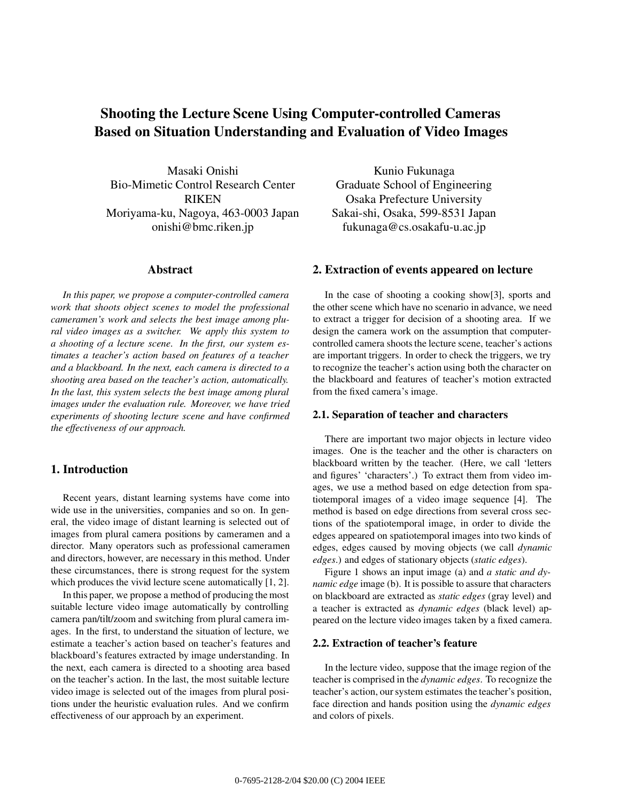# **Shooting the Lecture Scene Using Computer-controlled Cameras Based on Situation Understanding and Evaluation of Video Images**

Masaki Onishi Bio-Mimetic Control Research Center RIKEN Moriyama-ku, Nagoya, 463-0003 Japan onishi@bmc.riken.jp

### **Abstract**

*In this paper, we propose a computer-controlled camera work that shoots object scenes to model the professional cameramen's work and selects the best image among plural video images as a switcher. We apply this system to a shooting of a lecture scene. In the first, our system estimates a teacher's action based on features of a teacher and a blackboard. In the next, each camera is directed to a shooting area based on the teacher's action, automatically. In the last, this system selects the best image among plural images under the evaluation rule. Moreover, we have tried experiments of shooting lecture scene and have confirmed the effectiveness of our approach.*

# **1. Introduction**

Recent years, distant learning systems have come into wide use in the universities, companies and so on. In general, the video image of distant learning is selected out of images from plural camera positions by cameramen and a director. Many operators such as professional cameramen and directors, however, are necessary in this method. Under these circumstances, there is strong request for the system which produces the vivid lecture scene automatically [1, 2].

In this paper, we propose a method of producing the most suitable lecture video image automatically by controlling camera pan/tilt/zoom and switching from plural camera images. In the first, to understand the situation of lecture, we estimate a teacher's action based on teacher's features and blackboard's features extracted by image understanding. In the next, each camera is directed to a shooting area based on the teacher's action. In the last, the most suitable lecture video image is selected out of the images from plural positions under the heuristic evaluation rules. And we confirm effectiveness of our approach by an experiment.

Kunio Fukunaga Graduate School of Engineering Osaka Prefecture University Sakai-shi, Osaka, 599-8531 Japan fukunaga@cs.osakafu-u.ac.jp

### **2. Extraction of events appeared on lecture**

In the case of shooting a cooking show[3], sports and the other scene which have no scenario in advance, we need to extract a trigger for decision of a shooting area. If we design the camera work on the assumption that computercontrolled camera shoots the lecture scene, teacher's actions are important triggers. In order to check the triggers, we try to recognize the teacher's action using both the character on the blackboard and features of teacher's motion extracted from the fixed camera's image.

#### **2.1. Separation of teacher and characters**

There are important two major objects in lecture video images. One is the teacher and the other is characters on blackboard written by the teacher. (Here, we call 'letters and figures' 'characters'.) To extract them from video images, we use a method based on edge detection from spatiotemporal images of a video image sequence [4]. The method is based on edge directions from several cross sections of the spatiotemporal image, in order to divide the edges appeared on spatiotemporal images into two kinds of edges, edges caused by moving objects (we call *dynamic edges*.) and edges of stationary objects (*static edges*).

Figure 1 shows an input image (a) and *a static and dynamic edge* image (b). It is possible to assure that characters on blackboard are extracted as *static edges* (gray level) and a teacher is extracted as *dynamic edges* (black level) appeared on the lecture video images taken by a fixed camera.

#### **2.2. Extraction of teacher's feature**

In the lecture video, suppose that the image region of the teacher is comprised in the *dynamic edges*. To recognize the teacher's action, our system estimates the teacher's position, face direction and hands position using the *dynamic edges* and colors of pixels.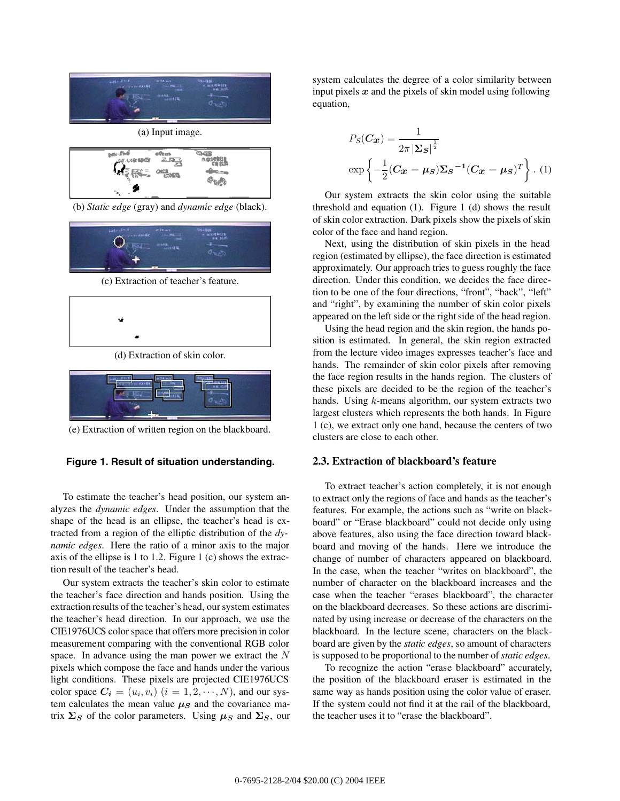

(a) Input image. **Bally Life of** .<br>.: 433 0.21 (21)

(b) *Static edge* (gray) and *dynamic edge* (black).



(c) Extraction of teacher's feature.



(d) Extraction of skin color.



(e) Extraction of written region on the blackboard.

### **Figure 1. Result of situation understanding.**

To estimate the teacher's head position, our system analyzes the *dynamic edges*. Under the assumption that the shape of the head is an ellipse, the teacher's head is extracted from a region of the elliptic distribution of the *dynamic edges*. Here the ratio of a minor axis to the major axis of the ellipse is 1 to 1.2. Figure 1 (c) shows the extraction result of the teacher's head.

Our system extracts the teacher's skin color to estimate the teacher's face direction and hands position. Using the extraction results of the teacher's head, our system estimates the teacher's head direction. In our approach, we use the CIE1976UCS color space that offers more precision in color measurement comparing with the conventional RGB color space. In advance using the man power we extract the N pixels which compose the face and hands under the various light conditions. These pixels are projected CIE1976UCS color space  $C_i = (u_i, v_i)$   $(i = 1, 2, \dots, N)$ , and our system calculates the mean value  $\mu<sub>S</sub>$  and the covariance matrix  $\Sigma_S$  of the color parameters. Using  $\mu_S$  and  $\Sigma_S$ , our system calculates the degree of a color similarity between input pixels *x* and the pixels of skin model using following equation,

$$
P_S(\mathbf{C_x}) = \frac{1}{2\pi |\Sigma_S|^{\frac{1}{2}}}
$$

$$
\exp\left\{-\frac{1}{2}(\mathbf{C_x} - \mu_S)\Sigma_S^{-1}(\mathbf{C_x} - \mu_S)^T\right\}. (1)
$$

Our system extracts the skin color using the suitable threshold and equation (1). Figure 1 (d) shows the result of skin color extraction. Dark pixels show the pixels of skin color of the face and hand region.

Next, using the distribution of skin pixels in the head region (estimated by ellipse), the face direction is estimated approximately. Our approach tries to guess roughly the face direction. Under this condition, we decides the face direction to be one of the four directions, "front", "back", "left" and "right", by examining the number of skin color pixels appeared on the left side or the right side of the head region.

Using the head region and the skin region, the hands position is estimated. In general, the skin region extracted from the lecture video images expresses teacher's face and hands. The remainder of skin color pixels after removing the face region results in the hands region. The clusters of these pixels are decided to be the region of the teacher's hands. Using *k*-means algorithm, our system extracts two largest clusters which represents the both hands. In Figure 1 (c), we extract only one hand, because the centers of two clusters are close to each other.

#### **2.3. Extraction of blackboard's feature**

To extract teacher's action completely, it is not enough to extract only the regions of face and hands as the teacher's features. For example, the actions such as "write on blackboard" or "Erase blackboard" could not decide only using above features, also using the face direction toward blackboard and moving of the hands. Here we introduce the change of number of characters appeared on blackboard. In the case, when the teacher "writes on blackboard", the number of character on the blackboard increases and the case when the teacher "erases blackboard", the character on the blackboard decreases. So these actions are discriminated by using increase or decrease of the characters on the blackboard. In the lecture scene, characters on the blackboard are given by the *static edges*, so amount of characters is supposed to be proportional to the number of*static edges*.

To recognize the action "erase blackboard" accurately, the position of the blackboard eraser is estimated in the same way as hands position using the color value of eraser. If the system could not find it at the rail of the blackboard, the teacher uses it to "erase the blackboard".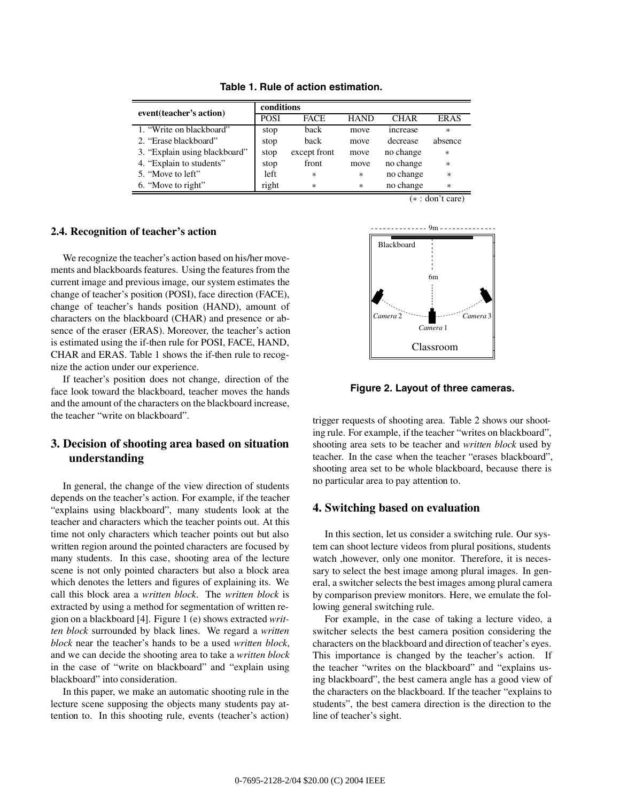|                               | conditions  |              |             |                |             |
|-------------------------------|-------------|--------------|-------------|----------------|-------------|
| event(teacher's action)       | <b>POSI</b> | <b>FACE</b>  | <b>HAND</b> | CHAR           | <b>ERAS</b> |
| 1. "Write on blackboard"      | stop        | back         | move        | <i>ncrease</i> | $\ast$      |
| 2. "Erase blackboard"         | stop        | back         | move        | decrease       | absence     |
| 3. "Explain using blackboard" | stop        | except front | move        | no change      | $\ast$      |
| 4. "Explain to students"      | stop        | front        | move        | no change      | $\ast$      |
| 5. "Move to left"             | left        | $\ast$       | $\ast$      | no change      | $\ast$      |
| 6. "Move to right"            | right       | $\ast$       | $\ast$      | no change      | $\ast$      |

**Table 1. Rule of action estimation.**

### **2.4. Recognition of teacher's action**

We recognize the teacher's action based on his/her movements and blackboards features. Using the features from the current image and previous image, our system estimates the change of teacher's position (POSI), face direction (FACE), change of teacher's hands position (HAND), amount of characters on the blackboard (CHAR) and presence or absence of the eraser (ERAS). Moreover, the teacher's action is estimated using the if-then rule for POSI, FACE, HAND, CHAR and ERAS. Table 1 shows the if-then rule to recognize the action under our experience.

If teacher's position does not change, direction of the face look toward the blackboard, teacher moves the hands and the amount of the characters on the blackboard increase, the teacher "write on blackboard".

# **3. Decision of shooting area based on situation understanding**

In general, the change of the view direction of students depends on the teacher's action. For example, if the teacher "explains using blackboard", many students look at the teacher and characters which the teacher points out. At this time not only characters which teacher points out but also written region around the pointed characters are focused by many students. In this case, shooting area of the lecture scene is not only pointed characters but also a block area which denotes the letters and figures of explaining its. We call this block area a *written block*. The *written block* is extracted by using a method for segmentation of written region on a blackboard [4]. Figure 1 (e) shows extracted *written block* surrounded by black lines. We regard a *written block* near the teacher's hands to be a used *written block*, and we can decide the shooting area to take a *written block* in the case of "write on blackboard" and "explain using blackboard" into consideration.

In this paper, we make an automatic shooting rule in the lecture scene supposing the objects many students pay attention to. In this shooting rule, events (teacher's action) (∗ : don't care)



**Figure 2. Layout of three cameras.**

trigger requests of shooting area. Table 2 shows our shooting rule. For example, if the teacher "writes on blackboard", shooting area sets to be teacher and *written block* used by teacher. In the case when the teacher "erases blackboard", shooting area set to be whole blackboard, because there is no particular area to pay attention to.

# **4. Switching based on evaluation**

In this section, let us consider a switching rule. Our system can shoot lecture videos from plural positions, students watch ,however, only one monitor. Therefore, it is necessary to select the best image among plural images. In general, a switcher selects the best images among plural camera by comparison preview monitors. Here, we emulate the following general switching rule.

For example, in the case of taking a lecture video, a switcher selects the best camera position considering the characters on the blackboard and direction of teacher's eyes. This importance is changed by the teacher's action. If the teacher "writes on the blackboard" and "explains using blackboard", the best camera angle has a good view of the characters on the blackboard. If the teacher "explains to students", the best camera direction is the direction to the line of teacher's sight.